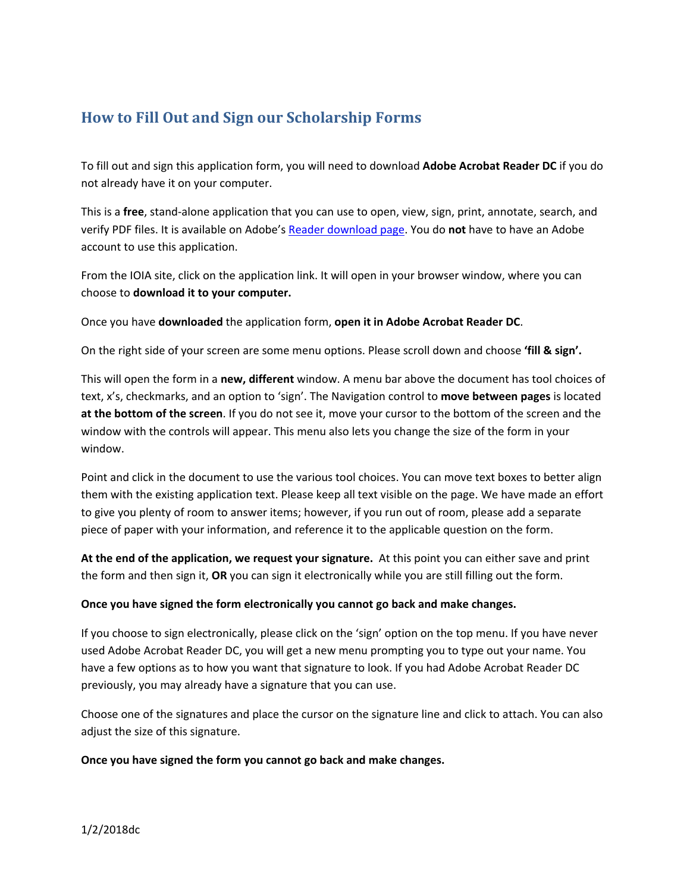## **How to Fill Out and Sign our Scholarship Forms**

To fill out and sign this application form, you will need to download **Adobe Acrobat Reader DC** if you do not already have it on your computer.

This is a **free**, stand‐alone application that you can use to open, view, sign, print, annotate, search, and verify PDF files. It is available on Adobe's Reader download page. You do **not** have to have an Adobe account to use this application.

From the IOIA site, click on the application link. It will open in your browser window, where you can choose to **download it to your computer.**

Once you have **downloaded** the application form, **open it in Adobe Acrobat Reader DC**.

On the right side of your screen are some menu options. Please scroll down and choose **'fill & sign'.**

This will open the form in a **new, different** window. A menu bar above the document has tool choices of text, x's, checkmarks, and an option to 'sign'. The Navigation control to **move between pages** is located **at the bottom of the screen**. If you do not see it, move your cursor to the bottom of the screen and the window with the controls will appear. This menu also lets you change the size of the form in your window.

Point and click in the document to use the various tool choices. You can move text boxes to better align them with the existing application text. Please keep all text visible on the page. We have made an effort to give you plenty of room to answer items; however, if you run out of room, please add a separate piece of paper with your information, and reference it to the applicable question on the form.

**At the end of the application, we request your signature.** At this point you can either save and print the form and then sign it, **OR** you can sign it electronically while you are still filling out the form.

## **Once you have signed the form electronically you cannot go back and make changes.**

If you choose to sign electronically, please click on the 'sign' option on the top menu. If you have never used Adobe Acrobat Reader DC, you will get a new menu prompting you to type out your name. You have a few options as to how you want that signature to look. If you had Adobe Acrobat Reader DC previously, you may already have a signature that you can use.

Choose one of the signatures and place the cursor on the signature line and click to attach. You can also adjust the size of this signature.

## **Once you have signed the form you cannot go back and make changes.**